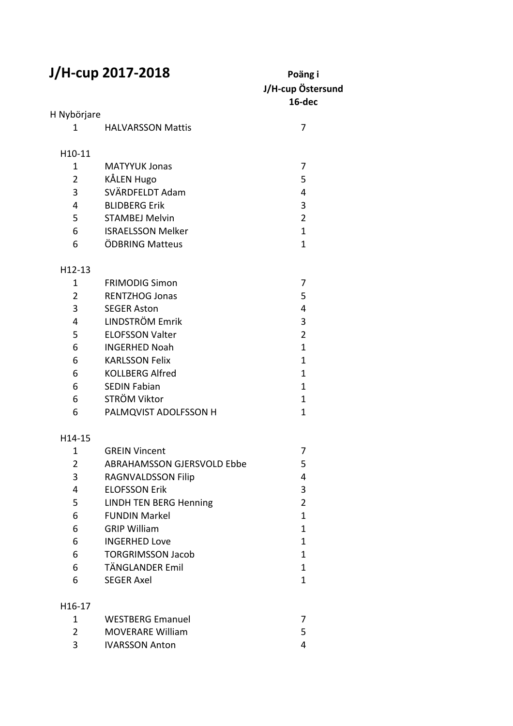## **J/H-cup 2017-2018** Poäng i

## **J/H-cup Östersund 16-dec** H Nybörjare 1 HALVARSSON Mattis 7 H10-11 1 MATYYUK Jonas 7 2 KÅLEN Hugo 5 3 SVÄRDFELDT Adam 4 4 BLIDBERG Erik 3 5 STAMBEJ Melvin 2 6 ISRAELSSON Melker 1 1 6 ÖDBRING Matteus 1 H12-13 1 FRIMODIG Simon 7 2 RENTZHOG Jonas 5 3 SEGER Aston 4 4 LINDSTRÖM Emrik 3 5 ELOFSSON Valter 2 6 INGERHED Noah 1 6 KARLSSON Felix 1 6 KOLLBERG Alfred 1 6 SEDIN Fabian 1 6 STRÖM Viktor 1 6 PALMQVIST ADOLFSSON H 1 H14-15 1 GREIN Vincent 7 2 ABRAHAMSSON GJERSVOLD Ebbe 5 3 RAGNVALDSSON Filip 4 4 ELOFSSON Erik 3 5 LINDH TEN BERG Henning 2 6 FUNDIN Markel 1 1 6 GRIP William 1 6 INGERHED Love 1 6 TORGRIMSSON Jacob 1 6 TÄNGLANDER Emil 1 6 SEGER Axel 1 H16-17 1 WESTBERG Emanuel 7 2 MOVERARE William 5

3 IVARSSON Anton 4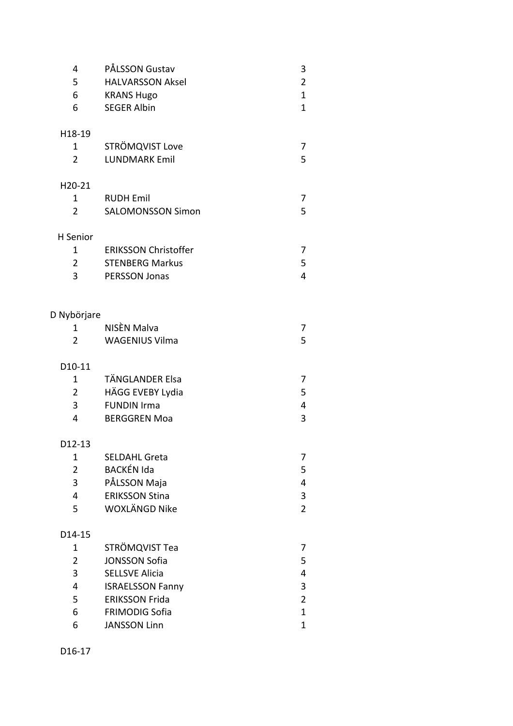| 4<br>5<br>6<br>6    | PÅLSSON Gustav<br><b>HALVARSSON Aksel</b><br><b>KRANS Hugo</b><br><b>SEGER Albin</b> | 3<br>$\overline{\mathbf{c}}$<br>$\mathbf{1}$<br>$\mathbf{1}$ |
|---------------------|--------------------------------------------------------------------------------------|--------------------------------------------------------------|
| H18-19              |                                                                                      |                                                              |
| 1                   | STRÖMQVIST Love                                                                      | 7                                                            |
| $\overline{2}$      | <b>LUNDMARK Emil</b>                                                                 | 5                                                            |
| H20-21              |                                                                                      |                                                              |
| 1                   | <b>RUDH Emil</b>                                                                     | 7                                                            |
| $\overline{2}$      | <b>SALOMONSSON Simon</b>                                                             | 5                                                            |
| H Senior            |                                                                                      |                                                              |
| 1                   | <b>ERIKSSON Christoffer</b>                                                          | 7                                                            |
| $\overline{2}$      | <b>STENBERG Markus</b>                                                               | 5                                                            |
| 3                   | <b>PERSSON Jonas</b>                                                                 | $\overline{4}$                                               |
| Nybörjare           |                                                                                      |                                                              |
| 1                   | NISÈN Malva                                                                          | 7                                                            |
| $\overline{2}$      | <b>WAGENIUS Vilma</b>                                                                | 5                                                            |
|                     |                                                                                      |                                                              |
| D10-11              |                                                                                      |                                                              |
| 1                   | TÄNGLANDER Elsa                                                                      | 7                                                            |
| $\overline{2}$      | HÄGG EVEBY Lydia                                                                     | 5                                                            |
| 3                   | <b>FUNDIN Irma</b>                                                                   | 4                                                            |
| 4                   | <b>BERGGREN Moa</b>                                                                  | 3                                                            |
| D <sub>12</sub> -13 |                                                                                      |                                                              |
| 1                   | <b>SELDAHL Greta</b>                                                                 | 7                                                            |
| $\overline{2}$      | <b>BACKÉN Ida</b>                                                                    | 5                                                            |
| 3                   | PÅLSSON Maja                                                                         | 4                                                            |
| 4                   | <b>ERIKSSON Stina</b>                                                                | 3                                                            |
| 5                   | WOXLÄNGD Nike                                                                        | $\overline{2}$                                               |
| D14-15              |                                                                                      |                                                              |
| 1                   | STRÖMQVIST Tea                                                                       | 7                                                            |
| $\overline{2}$      | <b>JONSSON Sofia</b>                                                                 | 5                                                            |
| 3                   | <b>SELLSVE Alicia</b>                                                                | 4                                                            |
| 4                   | <b>ISRAELSSON Fanny</b>                                                              | 3                                                            |
| 5                   | <b>ERIKSSON Frida</b>                                                                | $\overline{c}$                                               |
| 6                   | <b>FRIMODIG Sofia</b>                                                                | $\mathbf{1}$                                                 |
| 6                   | <b>JANSSON Linn</b>                                                                  | $\mathbf 1$                                                  |
|                     |                                                                                      |                                                              |

D16-17

 $\mathsf{D}$